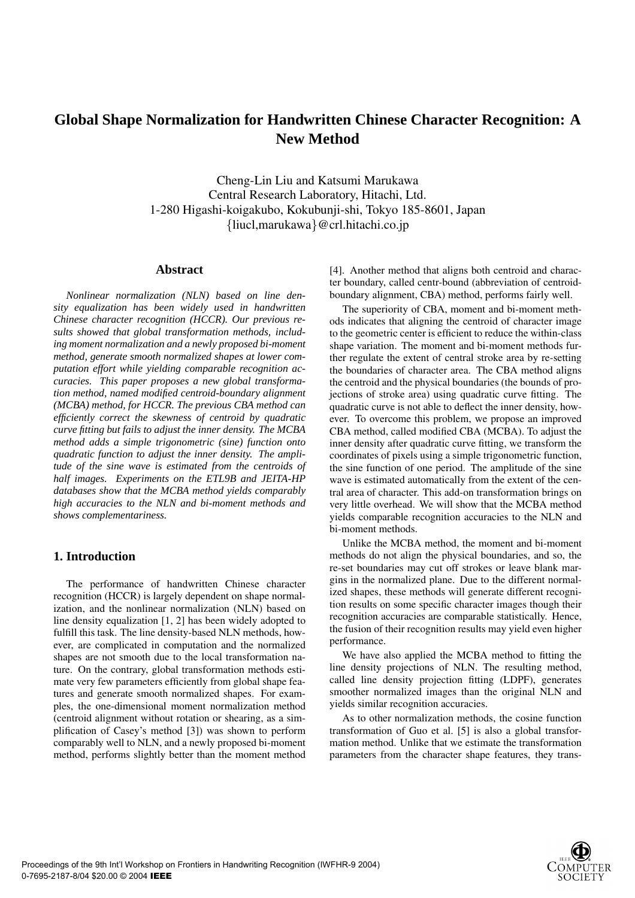# **Global Shape Normalization for Handwritten Chinese Character Recognition: A New Method**

Cheng-Lin Liu and Katsumi Marukawa Central Research Laboratory, Hitachi, Ltd. 1-280 Higashi-koigakubo, Kokubunji-shi, Tokyo 185-8601, Japan {liucl,marukawa}@crl.hitachi.co.jp

#### **Abstract**

*Nonlinear normalization (NLN) based on line density equalization has been widely used in handwritten Chinese character recognition (HCCR). Our previous results showed that global transformation methods, including moment normalization and a newly proposed bi-moment method, generate smooth normalized shapes at lower computation effort while yielding comparable recognition accuracies. This paper proposes a new global transformation method, named modified centroid-boundary alignment (MCBA) method, for HCCR. The previous CBA method can efficiently correct the skewness of centroid by quadratic curve fitting but fails to adjust the inner density. The MCBA method adds a simple trigonometric (sine) function onto quadratic function to adjust the inner density. The amplitude of the sine wave is estimated from the centroids of half images. Experiments on the ETL9B and JEITA-HP databases show that the MCBA method yields comparably high accuracies to the NLN and bi-moment methods and shows complementariness.*

## **1. Introduction**

The performance of handwritten Chinese character recognition (HCCR) is largely dependent on shape normalization, and the nonlinear normalization (NLN) based on line density equalization [1, 2] has been widely adopted to fulfill this task. The line density-based NLN methods, however, are complicated in computation and the normalized shapes are not smooth due to the local transformation nature. On the contrary, global transformation methods estimate very few parameters efficiently from global shape features and generate smooth normalized shapes. For examples, the one-dimensional moment normalization method (centroid alignment without rotation or shearing, as a simplification of Casey's method [3]) was shown to perform comparably well to NLN, and a newly proposed bi-moment method, performs slightly better than the moment method [4]. Another method that aligns both centroid and character boundary, called centr-bound (abbreviation of centroidboundary alignment, CBA) method, performs fairly well.

The superiority of CBA, moment and bi-moment methods indicates that aligning the centroid of character image to the geometric center is efficient to reduce the within-class shape variation. The moment and bi-moment methods further regulate the extent of central stroke area by re-setting the boundaries of character area. The CBA method aligns the centroid and the physical boundaries (the bounds of projections of stroke area) using quadratic curve fitting. The quadratic curve is not able to deflect the inner density, however. To overcome this problem, we propose an improved CBA method, called modified CBA (MCBA). To adjust the inner density after quadratic curve fitting, we transform the coordinates of pixels using a simple trigonometric function, the sine function of one period. The amplitude of the sine wave is estimated automatically from the extent of the central area of character. This add-on transformation brings on very little overhead. We will show that the MCBA method yields comparable recognition accuracies to the NLN and bi-moment methods.

Unlike the MCBA method, the moment and bi-moment methods do not align the physical boundaries, and so, the re-set boundaries may cut off strokes or leave blank margins in the normalized plane. Due to the different normalized shapes, these methods will generate different recognition results on some specific character images though their recognition accuracies are comparable statistically. Hence, the fusion of their recognition results may yield even higher performance.

We have also applied the MCBA method to fitting the line density projections of NLN. The resulting method, called line density projection fitting (LDPF), generates smoother normalized images than the original NLN and yields similar recognition accuracies.

As to other normalization methods, the cosine function transformation of Guo et al. [5] is also a global transformation method. Unlike that we estimate the transformation parameters from the character shape features, they trans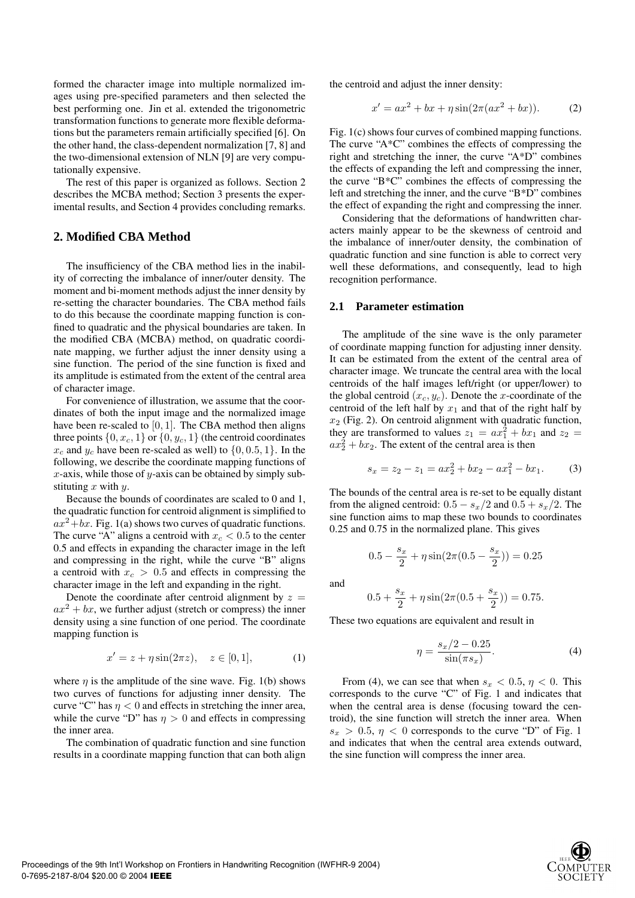formed the character image into multiple normalized images using pre-specified parameters and then selected the best performing one. Jin et al. extended the trigonometric transformation functions to generate more flexible deformations but the parameters remain artificially specified [6]. On the other hand, the class-dependent normalization [7, 8] and the two-dimensional extension of NLN [9] are very computationally expensive.

The rest of this paper is organized as follows. Section 2 describes the MCBA method; Section 3 presents the experimental results, and Section 4 provides concluding remarks.

## **2. Modified CBA Method**

The insufficiency of the CBA method lies in the inability of correcting the imbalance of inner/outer density. The moment and bi-moment methods adjust the inner density by re-setting the character boundaries. The CBA method fails to do this because the coordinate mapping function is confined to quadratic and the physical boundaries are taken. In the modified CBA (MCBA) method, on quadratic coordinate mapping, we further adjust the inner density using a sine function. The period of the sine function is fixed and its amplitude is estimated from the extent of the central area of character image.

For convenience of illustration, we assume that the coordinates of both the input image and the normalized image have been re-scaled to  $[0, 1]$ . The CBA method then aligns three points  $\{0, x_c, 1\}$  or  $\{0, y_c, 1\}$  (the centroid coordinates  $x_c$  and  $y_c$  have been re-scaled as well) to  $\{0, 0.5, 1\}$ . In the following, we describe the coordinate mapping functions of  $x$ -axis, while those of  $y$ -axis can be obtained by simply substituting  $x$  with  $y$ .

Because the bounds of coordinates are scaled to 0 and 1, the quadratic function for centroid alignment is simplified to  $ax^2+bx$ . Fig. 1(a) shows two curves of quadratic functions. The curve "A" aligns a centroid with  $x_c < 0.5$  to the center 0.5 and effects in expanding the character image in the left and compressing in the right, while the curve "B" aligns a centroid with  $x_c > 0.5$  and effects in compressing the character image in the left and expanding in the right.

Denote the coordinate after centroid alignment by  $z =$  $ax^{2} + bx$ , we further adjust (stretch or compress) the inner density using a sine function of one period. The coordinate mapping function is

$$
x' = z + \eta \sin(2\pi z), \quad z \in [0, 1], \tag{1}
$$

where  $\eta$  is the amplitude of the sine wave. Fig. 1(b) shows two curves of functions for adjusting inner density. The curve "C" has  $\eta < 0$  and effects in stretching the inner area, while the curve "D" has  $\eta > 0$  and effects in compressing the inner area.

The combination of quadratic function and sine function results in a coordinate mapping function that can both align the centroid and adjust the inner density:

$$
x' = ax^2 + bx + \eta \sin(2\pi(ax^2 + bx)).
$$
 (2)

Fig. 1(c) shows four curves of combined mapping functions. The curve "A\*C" combines the effects of compressing the right and stretching the inner, the curve "A\*D" combines the effects of expanding the left and compressing the inner, the curve "B\*C" combines the effects of compressing the left and stretching the inner, and the curve "B\*D" combines the effect of expanding the right and compressing the inner.

Considering that the deformations of handwritten characters mainly appear to be the skewness of centroid and the imbalance of inner/outer density, the combination of quadratic function and sine function is able to correct very well these deformations, and consequently, lead to high recognition performance.

#### **2.1 Parameter estimation**

The amplitude of the sine wave is the only parameter of coordinate mapping function for adjusting inner density. It can be estimated from the extent of the central area of character image. We truncate the central area with the local centroids of the half images left/right (or upper/lower) to the global centroid  $(x_c, y_c)$ . Denote the x-coordinate of the centroid of the left half by  $x_1$  and that of the right half by  $x_2$  (Fig. 2). On centroid alignment with quadratic function, they are transformed to values  $z_1 = ax_1^2 + bx_1$  and  $z_2 =$  $ax_2^2 + bx_2$ . The extent of the central area is then

$$
s_x = z_2 - z_1 = ax_2^2 + bx_2 - ax_1^2 - bx_1.
$$
 (3)

The bounds of the central area is re-set to be equally distant from the aligned centroid:  $0.5 - s_x/2$  and  $0.5 + s_x/2$ . The sine function aims to map these two bounds to coordinates 0.25 and 0.75 in the normalized plane. This gives

$$
0.5 - \frac{s_x}{2} + \eta \sin(2\pi (0.5 - \frac{s_x}{2})) = 0.25
$$

and

$$
0.5 + \frac{s_x}{2} + \eta \sin(2\pi (0.5 + \frac{s_x}{2})) = 0.75.
$$

These two equations are equivalent and result in

$$
\eta = \frac{s_x/2 - 0.25}{\sin(\pi s_x)}.
$$
 (4)

From (4), we can see that when  $s_x < 0.5$ ,  $\eta < 0$ . This corresponds to the curve "C" of Fig. 1 and indicates that when the central area is dense (focusing toward the centroid), the sine function will stretch the inner area. When  $s_x > 0.5$ ,  $\eta < 0$  corresponds to the curve "D" of Fig. 1 and indicates that when the central area extends outward, the sine function will compress the inner area.

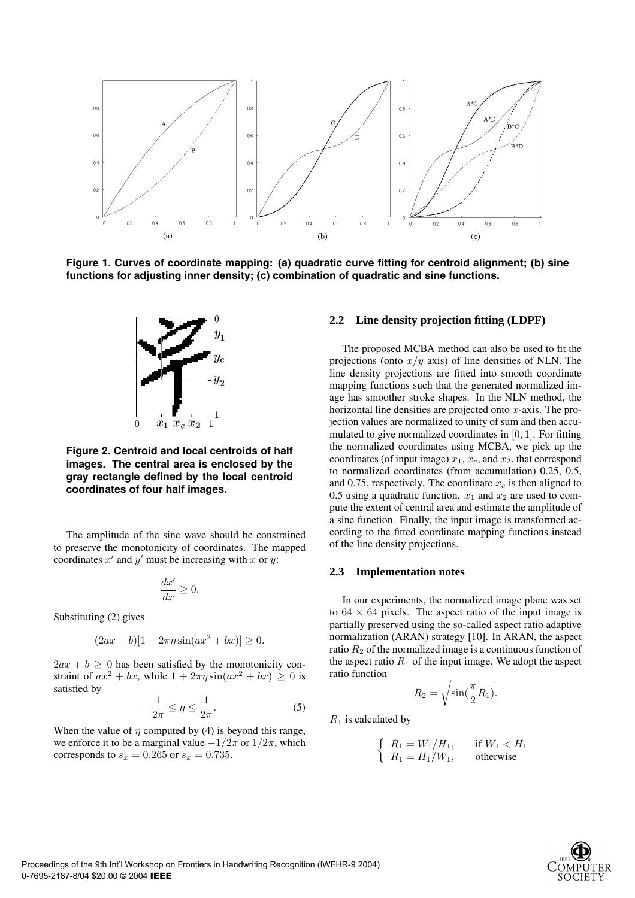

**Figure 1. Curves of coordinate mapping: (a) quadratic curve fitting for centroid alignment; (b) sine functions for adjusting inner density; (c) combination of quadratic and sine functions.**



**Figure 2. Centroid and local centroids of half images. The central area is enclosed by the gray rectangle defined by the local centroid coordinates of four half images.**

The amplitude of the sine wave should be constrained to preserve the monotonicity of coordinates. The mapped coordinates  $x'$  and  $y'$  must be increasing with x or y:

$$
\frac{dx'}{dx} \ge 0.
$$

Substituting (2) gives

$$
(2ax + b)[1 + 2\pi\eta \sin(ax^2 + bx)] \ge 0.
$$

 $2ax + b \ge 0$  has been satisfied by the monotonicity constraint of  $ax^2 + bx$ , while  $1 + 2\pi\eta \sin(ax^2 + bx) \ge 0$  is satisfied by

$$
-\frac{1}{2\pi} \le \eta \le \frac{1}{2\pi}.\tag{5}
$$

When the value of  $\eta$  computed by (4) is beyond this range, we enforce it to be a marginal value  $-1/2\pi$  or  $1/2\pi$ , which corresponds to  $s_x = 0.265$  or  $s_x = 0.735$ .

## **2.2 Line density projection fitting (LDPF)**

The proposed MCBA method can also be used to fit the projections (onto  $x/y$  axis) of line densities of NLN. The line density projections are fitted into smooth coordinate mapping functions such that the generated normalized image has smoother stroke shapes. In the NLN method, the horizontal line densities are projected onto  $x$ -axis. The projection values are normalized to unity of sum and then accumulated to give normalized coordinates in [0, 1]. For fitting the normalized coordinates using MCBA, we pick up the coordinates (of input image)  $x_1, x_c$ , and  $x_2$ , that correspond to normalized coordinates (from accumulation) 0.25, 0.5, and 0.75, respectively. The coordinate  $x_c$  is then aligned to 0.5 using a quadratic function.  $x_1$  and  $x_2$  are used to compute the extent of central area and estimate the amplitude of a sine function. Finally, the input image is transformed according to the fitted coordinate mapping functions instead of the line density projections.

#### **2.3 Implementation notes**

In our experiments, the normalized image plane was set to  $64 \times 64$  pixels. The aspect ratio of the input image is partially preserved using the so-called aspect ratio adaptive normalization (ARAN) strategy [10]. In ARAN, the aspect ratio  $R<sub>2</sub>$  of the normalized image is a continuous function of the aspect ratio  $R_1$  of the input image. We adopt the aspect ratio function

$$
R_2 = \sqrt{\sin(\frac{\pi}{2}R_1)}.
$$

 $R_1$  is calculated by

$$
\begin{cases}\nR_1 = W_1/H_1, & \text{if } W_1 < H_1 \\
R_1 = H_1/W_1, & \text{otherwise}\n\end{cases}
$$

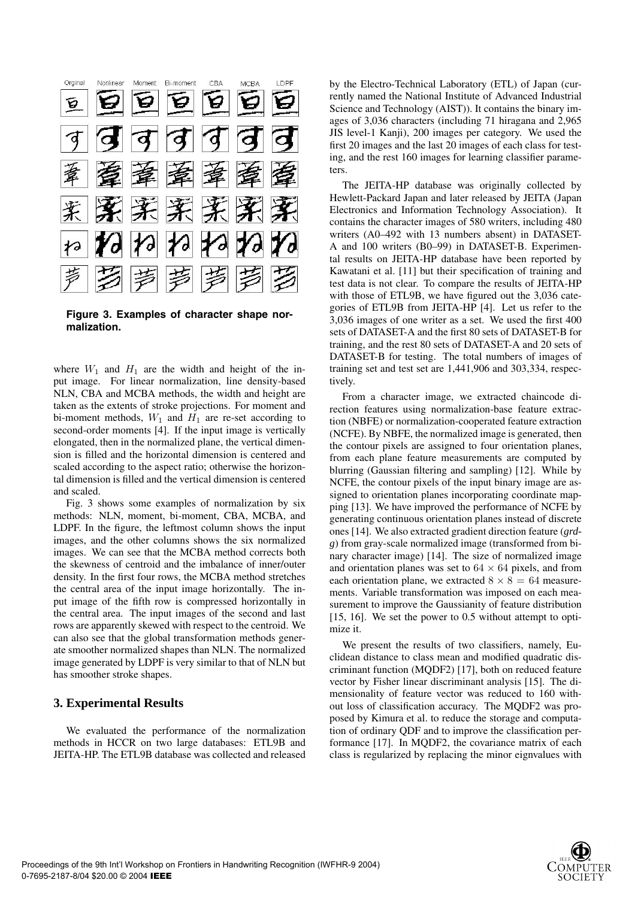

**Figure 3. Examples of character shape normalization.**

where  $W_1$  and  $H_1$  are the width and height of the input image. For linear normalization, line density-based NLN, CBA and MCBA methods, the width and height are taken as the extents of stroke projections. For moment and bi-moment methods,  $W_1$  and  $H_1$  are re-set according to second-order moments [4]. If the input image is vertically elongated, then in the normalized plane, the vertical dimension is filled and the horizontal dimension is centered and scaled according to the aspect ratio; otherwise the horizontal dimension is filled and the vertical dimension is centered and scaled.

Fig. 3 shows some examples of normalization by six methods: NLN, moment, bi-moment, CBA, MCBA, and LDPF. In the figure, the leftmost column shows the input images, and the other columns shows the six normalized images. We can see that the MCBA method corrects both the skewness of centroid and the imbalance of inner/outer density. In the first four rows, the MCBA method stretches the central area of the input image horizontally. The input image of the fifth row is compressed horizontally in the central area. The input images of the second and last rows are apparently skewed with respect to the centroid. We can also see that the global transformation methods generate smoother normalized shapes than NLN. The normalized image generated by LDPF is very similar to that of NLN but has smoother stroke shapes.

## **3. Experimental Results**

We evaluated the performance of the normalization methods in HCCR on two large databases: ETL9B and JEITA-HP. The ETL9B database was collected and released by the Electro-Technical Laboratory (ETL) of Japan (currently named the National Institute of Advanced Industrial Science and Technology (AIST)). It contains the binary images of 3,036 characters (including 71 hiragana and 2,965 JIS level-1 Kanji), 200 images per category. We used the first 20 images and the last 20 images of each class for testing, and the rest 160 images for learning classifier parameters.

The JEITA-HP database was originally collected by Hewlett-Packard Japan and later released by JEITA (Japan Electronics and Information Technology Association). It contains the character images of 580 writers, including 480 writers (A0–492 with 13 numbers absent) in DATASET-A and 100 writers (B0–99) in DATASET-B. Experimental results on JEITA-HP database have been reported by Kawatani et al. [11] but their specification of training and test data is not clear. To compare the results of JEITA-HP with those of ETL9B, we have figured out the 3,036 categories of ETL9B from JEITA-HP [4]. Let us refer to the 3,036 images of one writer as a set. We used the first 400 sets of DATASET-A and the first 80 sets of DATASET-B for training, and the rest 80 sets of DATASET-A and 20 sets of DATASET-B for testing. The total numbers of images of training set and test set are 1,441,906 and 303,334, respectively.

From a character image, we extracted chaincode direction features using normalization-base feature extraction (NBFE) or normalization-cooperated feature extraction (NCFE). By NBFE, the normalized image is generated, then the contour pixels are assigned to four orientation planes, from each plane feature measurements are computed by blurring (Gaussian filtering and sampling) [12]. While by NCFE, the contour pixels of the input binary image are assigned to orientation planes incorporating coordinate mapping [13]. We have improved the performance of NCFE by generating continuous orientation planes instead of discrete ones [14]. We also extracted gradient direction feature (*grdg*) from gray-scale normalized image (transformed from binary character image) [14]. The size of normalized image and orientation planes was set to  $64 \times 64$  pixels, and from each orientation plane, we extracted  $8 \times 8 = 64$  measurements. Variable transformation was imposed on each measurement to improve the Gaussianity of feature distribution [15, 16]. We set the power to 0.5 without attempt to optimize it.

We present the results of two classifiers, namely, Euclidean distance to class mean and modified quadratic discriminant function (MQDF2) [17], both on reduced feature vector by Fisher linear discriminant analysis [15]. The dimensionality of feature vector was reduced to 160 without loss of classification accuracy. The MQDF2 was proposed by Kimura et al. to reduce the storage and computation of ordinary QDF and to improve the classification performance [17]. In MQDF2, the covariance matrix of each class is regularized by replacing the minor eignvalues with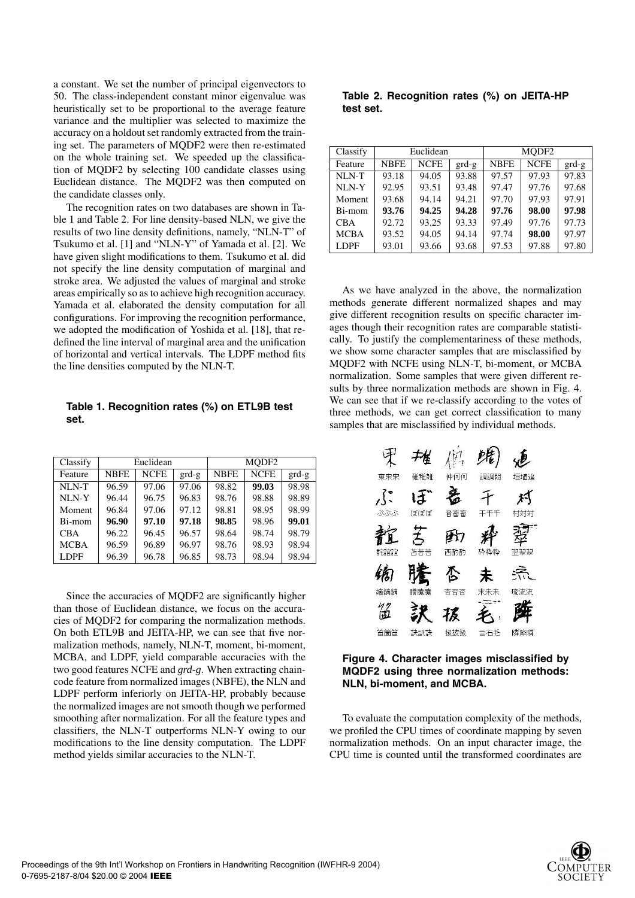a constant. We set the number of principal eigenvectors to 50. The class-independent constant minor eigenvalue was heuristically set to be proportional to the average feature variance and the multiplier was selected to maximize the accuracy on a holdout set randomly extracted from the training set. The parameters of MQDF2 were then re-estimated on the whole training set. We speeded up the classification of MQDF2 by selecting 100 candidate classes using Euclidean distance. The MQDF2 was then computed on the candidate classes only.

The recognition rates on two databases are shown in Table 1 and Table 2. For line density-based NLN, we give the results of two line density definitions, namely, "NLN-T" of Tsukumo et al. [1] and "NLN-Y" of Yamada et al. [2]. We have given slight modifications to them. Tsukumo et al. did not specify the line density computation of marginal and stroke area. We adjusted the values of marginal and stroke areas empirically so as to achieve high recognition accuracy. Yamada et al. elaborated the density computation for all configurations. For improving the recognition performance, we adopted the modification of Yoshida et al. [18], that redefined the line interval of marginal area and the unification of horizontal and vertical intervals. The LDPF method fits the line densities computed by the NLN-T.

**Table 1. Recognition rates (%) on ETL9B test set.**

| Classify    | Euclidean   |             |         | MODF <sub>2</sub> |             |         |
|-------------|-------------|-------------|---------|-------------------|-------------|---------|
| Feature     | <b>NBFE</b> | <b>NCFE</b> | $grd-g$ | <b>NBFE</b>       | <b>NCFE</b> | $grd-g$ |
| NLN-T       | 96.59       | 97.06       | 97.06   | 98.82             | 99.03       | 98.98   |
| NLN-Y       | 96.44       | 96.75       | 96.83   | 98.76             | 98.88       | 98.89   |
| Moment      | 96.84       | 97.06       | 97.12   | 98.81             | 98.95       | 98.99   |
| Bi-mom      | 96.90       | 97.10       | 97.18   | 98.85             | 98.96       | 99.01   |
| <b>CBA</b>  | 96.22       | 96.45       | 96.57   | 98.64             | 98.74       | 98.79   |
| <b>MCBA</b> | 96.59       | 96.89       | 96.97   | 98.76             | 98.93       | 98.94   |
| LDPF        | 96.39       | 96.78       | 96.85   | 98.73             | 98.94       | 98.94   |

Since the accuracies of MQDF2 are significantly higher than those of Euclidean distance, we focus on the accuracies of MQDF2 for comparing the normalization methods. On both ETL9B and JEITA-HP, we can see that five normalization methods, namely, NLN-T, moment, bi-moment, MCBA, and LDPF, yield comparable accuracies with the two good features NCFE and *grd-g*. When extracting chaincode feature from normalized images (NBFE), the NLN and LDPF perform inferiorly on JEITA-HP, probably because the normalized images are not smooth though we performed smoothing after normalization. For all the feature types and classifiers, the NLN-T outperforms NLN-Y owing to our modifications to the line density computation. The LDPF method yields similar accuracies to the NLN-T.

**Table 2. Recognition rates (%) on JEITA-HP test set.**

| Classify    | Euclidean   |             |         | MODF <sub>2</sub> |             |         |
|-------------|-------------|-------------|---------|-------------------|-------------|---------|
| Feature     | <b>NBFE</b> | <b>NCFE</b> | $grd-g$ | <b>NBFE</b>       | <b>NCFE</b> | $grd-g$ |
| NLN-T       | 93.18       | 94.05       | 93.88   | 97.57             | 97.93       | 97.83   |
| $NLN-Y$     | 92.95       | 93.51       | 93.48   | 97.47             | 97.76       | 97.68   |
| Moment      | 93.68       | 94.14       | 94.21   | 97.70             | 97.93       | 97.91   |
| Bi-mom      | 93.76       | 94.25       | 94.28   | 97.76             | 98.00       | 97.98   |
| <b>CBA</b>  | 92.72       | 93.25       | 93.33   | 97.49             | 97.76       | 97.73   |
| <b>MCBA</b> | 93.52       | 94.05       | 94.14   | 97.74             | 98.00       | 97.97   |
| <b>LDPF</b> | 93.01       | 93.66       | 93.68   | 97.53             | 97.88       | 97.80   |

As we have analyzed in the above, the normalization methods generate different normalized shapes and may give different recognition results on specific character images though their recognition rates are comparable statistically. To justify the complementariness of these methods, we show some character samples that are misclassified by MQDF2 with NCFE using NLN-T, bi-moment, or MCBA normalization. Some samples that were given different results by three normalization methods are shown in Fig. 4. We can see that if we re-classify according to the votes of three methods, we can get correct classification to many samples that are misclassified by individual methods.



## **Figure 4. Character images misclassified by MQDF2 using three normalization methods: NLN, bi-moment, and MCBA.**

To evaluate the computation complexity of the methods, we profiled the CPU times of coordinate mapping by seven normalization methods. On an input character image, the CPU time is counted until the transformed coordinates are